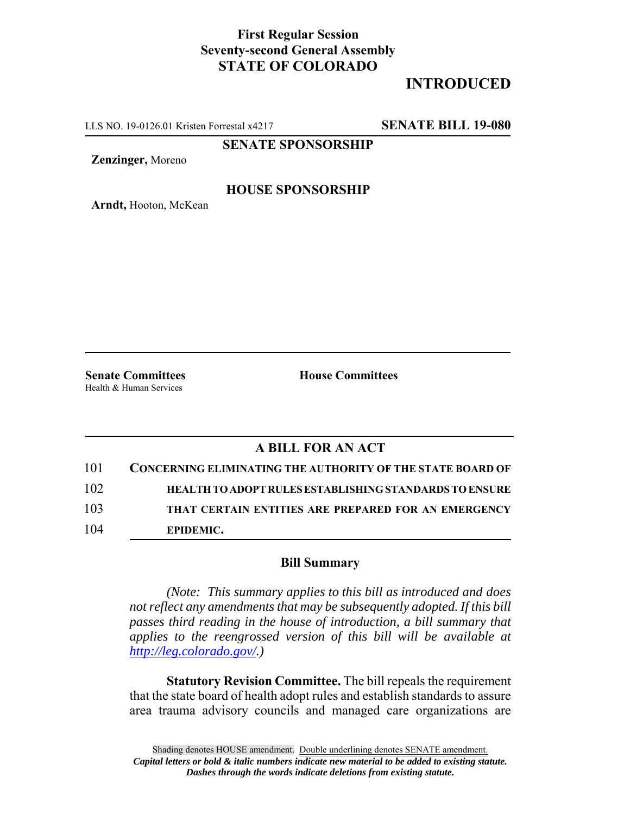## **First Regular Session Seventy-second General Assembly STATE OF COLORADO**

# **INTRODUCED**

LLS NO. 19-0126.01 Kristen Forrestal x4217 **SENATE BILL 19-080**

**SENATE SPONSORSHIP**

**Zenzinger,** Moreno

#### **HOUSE SPONSORSHIP**

**Arndt,** Hooton, McKean

Health & Human Services

**Senate Committees House Committees** 

### **A BILL FOR AN ACT**

| 101 | <b>CONCERNING ELIMINATING THE AUTHORITY OF THE STATE BOARD OF</b> |
|-----|-------------------------------------------------------------------|
| 102 | <b>HEALTH TO ADOPT RULES ESTABLISHING STANDARDS TO ENSURE</b>     |
| 103 | THAT CERTAIN ENTITIES ARE PREPARED FOR AN EMERGENCY               |
| 104 | EPIDEMIC.                                                         |

#### **Bill Summary**

*(Note: This summary applies to this bill as introduced and does not reflect any amendments that may be subsequently adopted. If this bill passes third reading in the house of introduction, a bill summary that applies to the reengrossed version of this bill will be available at http://leg.colorado.gov/.)*

**Statutory Revision Committee.** The bill repeals the requirement that the state board of health adopt rules and establish standards to assure area trauma advisory councils and managed care organizations are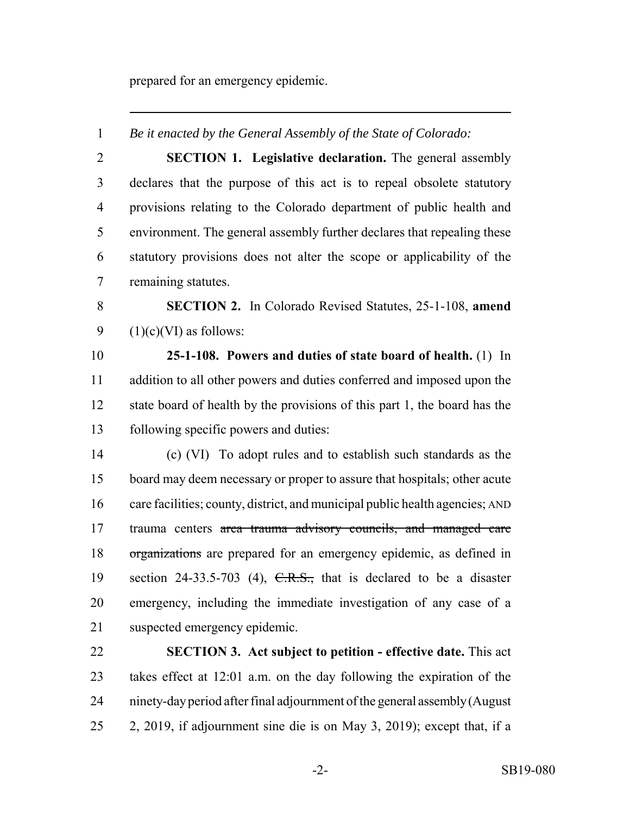prepared for an emergency epidemic.

 *Be it enacted by the General Assembly of the State of Colorado:* **SECTION 1. Legislative declaration.** The general assembly declares that the purpose of this act is to repeal obsolete statutory provisions relating to the Colorado department of public health and environment. The general assembly further declares that repealing these statutory provisions does not alter the scope or applicability of the remaining statutes. **SECTION 2.** In Colorado Revised Statutes, 25-1-108, **amend**  $(1)(c)(VI)$  as follows: **25-1-108. Powers and duties of state board of health.** (1) In addition to all other powers and duties conferred and imposed upon the state board of health by the provisions of this part 1, the board has the following specific powers and duties: (c) (VI) To adopt rules and to establish such standards as the board may deem necessary or proper to assure that hospitals; other acute care facilities; county, district, and municipal public health agencies; AND trauma centers area trauma advisory councils, and managed care organizations are prepared for an emergency epidemic, as defined in 19 section 24-33.5-703 (4),  $C.R.S.,$  that is declared to be a disaster emergency, including the immediate investigation of any case of a

 **SECTION 3. Act subject to petition - effective date.** This act takes effect at 12:01 a.m. on the day following the expiration of the ninety-day period after final adjournment of the general assembly (August 2, 2019, if adjournment sine die is on May 3, 2019); except that, if a

suspected emergency epidemic.